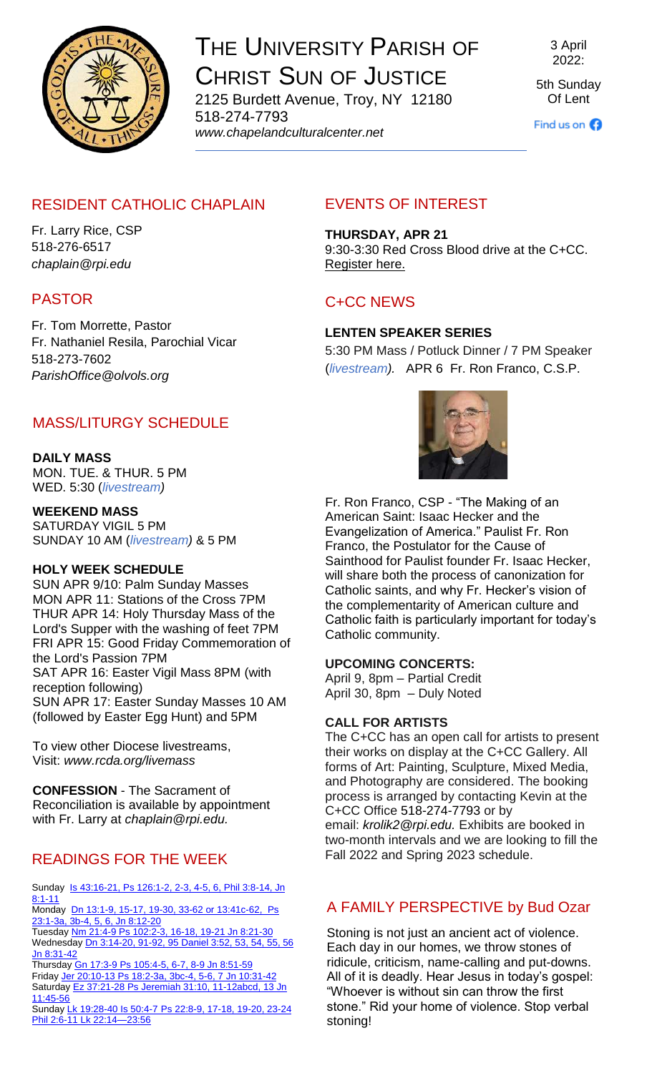

# THE UNIVERSITY PARISH OF CHRIST SUN OF JUSTICE

2125 Burdett Avenue, Troy, NY 12180 518-274-7793 *www[.chapelandculturalcenter.net](https://chapelandculturalcenter.net/)*

3 April 2022:

5th Sunday Of Lent

Find us on  $\bigodot$ 

# RESIDENT CATHOLIC CHAPLAIN

Fr. Larry Rice, CSP 518-276-6517 *[chaplain@rpi.edu](mailto:chaplain@rpi.edu)*

# PASTOR

Fr. Tom Morrette, Pastor Fr. Nathaniel Resila, Parochial Vicar 518-273-7602 *[ParishOffice@olvols.org](mailto:ParishOffice@olvols.org)*

# MASS/LITURGY SCHEDULE

## **DAILY MASS**

MON. TUE. & THUR. 5 PM WED. 5:30 (*[livestream\)](https://www.facebook.com/ChristSunofJustice/live/)*

**WEEKEND MASS** SATURDAY VIGIL 5 PM SUNDAY 10 AM (*[livestream\)](https://www.facebook.com/ChristSunofJustice/live/)* & 5 PM

### **HOLY WEEK SCHEDULE**

SUN APR 9/10: Palm Sunday Masses MON APR 11: Stations of the Cross 7PM THUR APR 14: Holy Thursday Mass of the Lord's Supper with the washing of feet 7PM FRI APR 15: Good Friday Commemoration of the Lord's Passion 7PM SAT APR 16: Easter Vigil Mass 8PM (with reception following) SUN APR 17: Easter Sunday Masses 10 AM (followed by Easter Egg Hunt) and 5PM

To view other Diocese livestreams, Visit: *[www.rcda.org/livemass](http://www.rcda.org/livemass)*

**CONFESSION** - The Sacrament of Reconciliation is available by appointment with Fr. Larry at *[chaplain@rpi.edu.](mailto:chaplain@rpi.edu)*

# READINGS FOR THE WEEK

Sunday Is 43:16-21, Ps 126:1-2, 2-3, 4-5, 6, Phil 3:8-14, Jn [8:1-11](https://bible.usccb.org/bible/readings/040322-YearC.cfm)

Monday Dn 13:1-9, 15-17, 19-30, 33-62 or 13:41c-62, Ps [23:1-3a, 3b-4, 5, 6, Jn 8:12-20](https://bible.usccb.org/bible/readings/040422.cfm)

Tuesday [Nm 21:4-9 Ps 102:2-3, 16-18, 19-21 Jn 8:21-30](https://bible.usccb.org/bible/readings/040522.cfm) Wednesday *Dn 3:14-20, 91-92, 95 Daniel 3:52, 53, 54, 55, 56* [Jn 8:31-42](https://bible.usccb.org/bible/readings/040622.cfm)

Thursday [Gn 17:3-9 Ps 105:4-5, 6-7, 8-9 Jn 8:51-59](https://bible.usccb.org/bible/readings/040722.cfm) Friday [Jer 20:10-13 Ps 18:2-3a, 3bc-4, 5-6, 7 Jn 10:31-42](https://bible.usccb.org/bible/readings/040822.cfm) Saturday Ez 37:21-28 Ps Jeremiah 31:10, 11-12abcd, 13 Jn [11:45-56](https://bible.usccb.org/bible/readings/040922.cfm)

Sunday Lk 19:28-40 Is 50:4-7 [Ps 22:8-9, 17-18, 19-20, 23-24](https://bible.usccb.org/bible/readings/041022.cfm)  [Phil 2:6-11 Lk 22:14—23:56](https://bible.usccb.org/bible/readings/041022.cfm)

# EVENTS OF INTEREST

**THURSDAY, APR 21**

9:30-3:30 Red Cross Blood drive at the C+CC. [Register here.](https://www.redcrossblood.org/give.html/find-drive)

# C+CC NEWS

## **LENTEN SPEAKER SERIES**

5:30 PM Mass / Potluck Dinner / 7 PM Speaker (*[livestream\)](https://www.facebook.com/ChristSunofJustice/live/).* APR 6 [Fr. Ron Franco,](https://paulist.org/who-we-are/bio/fr-ronald-franco/) C.S.P.



Fr. Ron Franco, CSP - "The Making of an American Saint: Isaac Hecker and the Evangelization of America." Paulist Fr. Ron Franco, the Postulator for the Cause of Sainthood for Paulist founder Fr. Isaac Hecker, will share both the process of canonization for Catholic saints, and why Fr. Hecker's vision of the complementarity of American culture and Catholic faith is particularly important for today's Catholic community.

#### **UPCOMING CONCERTS:**

April 9, 8pm – Partial Credit April 30, 8pm – Duly Noted

#### **CALL FOR ARTISTS**

The C+CC has an open call for artists to present their works on display at the C+CC Gallery. All forms of Art: Painting, Sculpture, Mixed Media, and Photography are considered. The booking process is arranged by contacting Kevin at the C+CC Office [518-274-7793](tel:5182747793) or by email: *[krolik2@rpi.edu.](mailto:krolik2@rpi.edu)* Exhibits are booked in two-month intervals and we are looking to fill the Fall 2022 and Spring 2023 schedule.

## A FAMILY PERSPECTIVE by Bud Ozar

Stoning is not just an ancient act of violence. Each day in our homes, we throw stones of ridicule, criticism, name-calling and put-downs. All of it is deadly. Hear Jesus in today's gospel: "Whoever is without sin can throw the first stone." Rid your home of violence. Stop verbal stoning!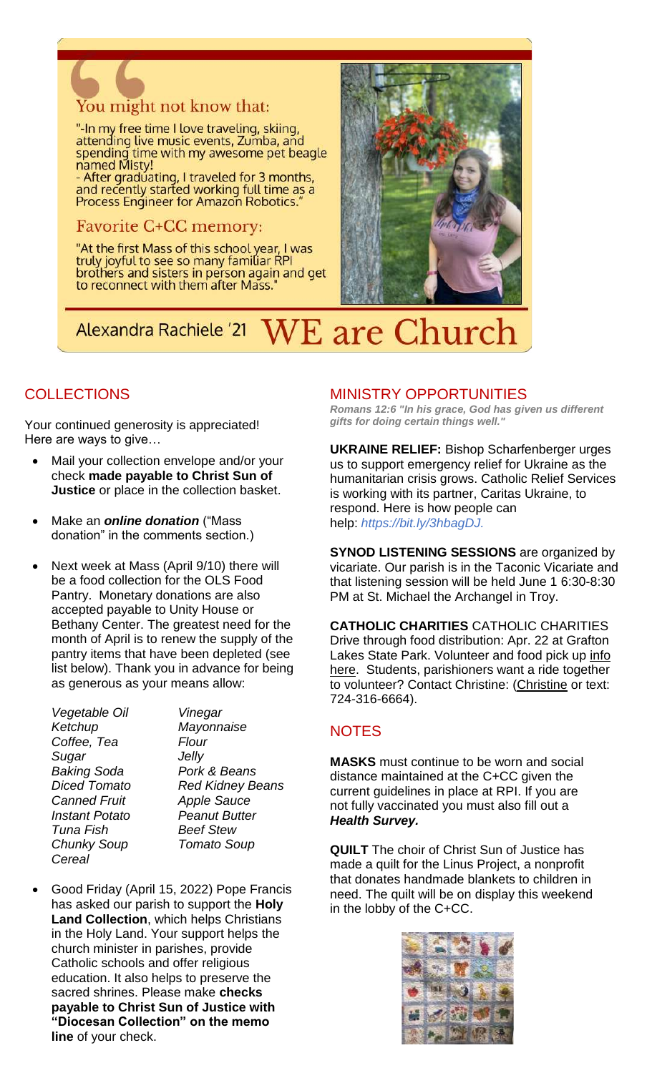

"-In my free time I love traveling, skiing,<br>attending live music events, Zumba, and spending time with my awesome pet beagle named Misty!

- After graduating, I traveled for 3 months, and recently started working full time as a<br>Process Engineer for Amazon Robotics."

#### **Favorite C+CC memory:**

"At the first Mass of this school year, I was truly joyful to see so many familiar RPI brothers and sisters in person again and get to reconnect with them after Mass.



### *N*E are Church **Alexandra Rachiele '21**

# **COLLECTIONS**

Your continued generosity is appreciated! Here are ways to give…

- Mail your collection envelope and/or your check **made payable to Christ Sun of Justice** or place in the collection basket.
- Make an *[online donation](http://chapelandculturalcenter.net/give-back/)* ("Mass donation" in the comments section.)
- Next week at Mass (April 9/10) there will be a food collection for the OLS Food Pantry. Monetary donations are also accepted payable to Unity House or Bethany Center. The greatest need for the month of April is to renew the supply of the pantry items that have been depleted (see list below). Thank you in advance for being as generous as your means allow:
	- *Vegetable Oil Vinegar Ketchup Mayonnaise Coffee, Tea Flour Sugar Jelly Baking Soda Pork & Beans Canned Fruit Apple Sauce Instant Potato Peanut Butter Tuna Fish Beef Stew Chunky Soup Tomato Soup Cereal*

*Diced Tomato Red Kidney Beans*

 Good Friday (April 15, 2022) Pope Francis has asked our parish to support the **Holy Land Collection**, which helps Christians in the Holy Land. Your support helps the church minister in parishes, provide Catholic schools and offer religious education. It also helps to preserve the sacred shrines. Please make **checks payable to Christ Sun of Justice with "Diocesan Collection" on the memo line** of your check.

### MINISTRY OPPORTUNITIES

*Romans 12:6 "In his grace, God has given us different gifts for doing certain things well."*

**UKRAINE RELIEF:** Bishop Scharfenberger urges us to support emergency relief for Ukraine as the humanitarian crisis grows. Catholic Relief Services is working with its partner, Caritas Ukraine, to respond. Here is how people can help: *[https://bit.ly/3hbagDJ.](https://bit.ly/3hbagDJ?fbclid=IwAR2WH4XjxT8SMX13STGtLq5eJCWROSPwFKRGmLtdKxIzpgOxJV0PzNPxfpk)*

**SYNOD LISTENING SESSIONS** are organized by vicariate. Our parish is in the Taconic Vicariate and that listening session will be held June 1 6:30-8:30 PM at St. Michael the Archangel in Troy.

**CATHOLIC CHARITIES** CATHOLIC CHARITIES Drive through food distribution: Apr. 22 at Grafton Lakes State Park. Volunteer and food pick up info [here.](https://www.facebook.com/events/1650411651987675?acontext=%7B%22event_action_history%22%3A%5b%7B%22surface%22%3A%22page%22%7D%5d%7D) Students, parishioners want a ride together to volunteer? Contact Christine: [\(Christine](crelyea28@gmail.com%20) or text: 724-316-6664).

## **NOTES**

**MASKS** must continue to be worn and social distance maintained at the C+CC given the current guidelines in place at RPI. If you are not fully vaccinated you must also fill out a *[Health Survey.](https://www.chapelandculturalcenter.net/health-survey/)*

**QUILT** The choir of Christ Sun of Justice has made a quilt for the Linus Project, a nonprofit that donates handmade blankets to children in need. The quilt will be on display this weekend in the lobby of the C+CC.

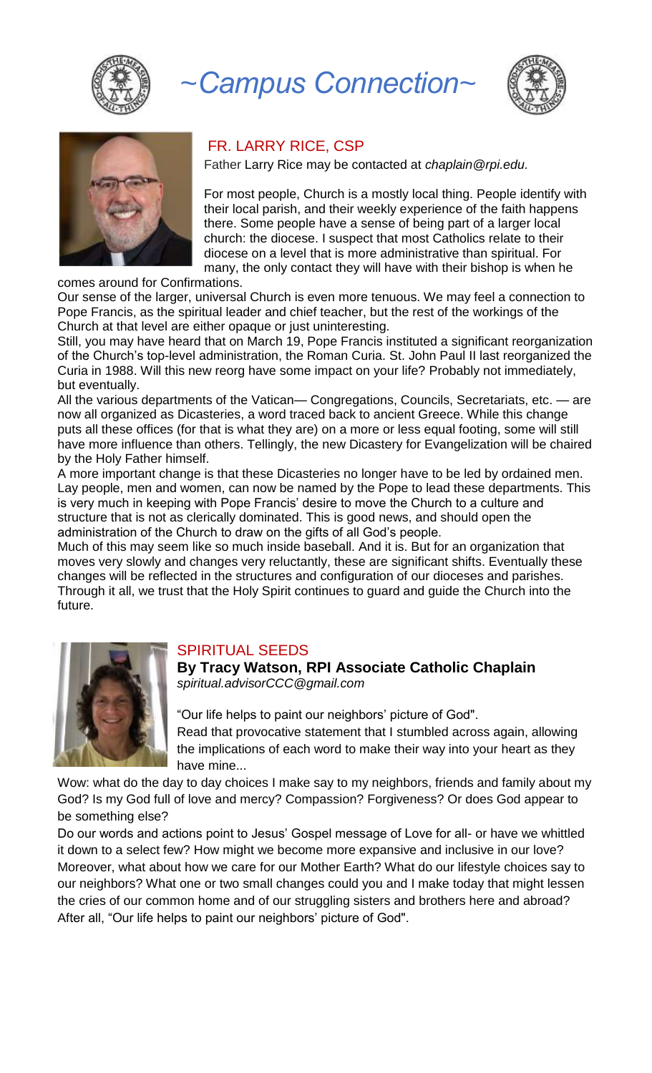

# *~Campus Connection~*





#### FR. LARRY RICE, CSP

Father Larry Rice may be contacted at *[chaplain@rpi.edu.](mailto:chaplain@rpi.edu)*

For most people, Church is a mostly local thing. People identify with their local parish, and their weekly experience of the faith happens there. Some people have a sense of being part of a larger local church: the diocese. I suspect that most Catholics relate to their diocese on a level that is more administrative than spiritual. For many, the only contact they will have with their bishop is when he

comes around for Confirmations.

Our sense of the larger, universal Church is even more tenuous. We may feel a connection to Pope Francis, as the spiritual leader and chief teacher, but the rest of the workings of the Church at that level are either opaque or just uninteresting.

Still, you may have heard that on March 19, Pope Francis instituted a significant reorganization of the Church's top-level administration, the Roman Curia. St. John Paul II last reorganized the Curia in 1988. Will this new reorg have some impact on your life? Probably not immediately, but eventually.

All the various departments of the Vatican— Congregations, Councils, Secretariats, etc. — are now all organized as Dicasteries, a word traced back to ancient Greece. While this change puts all these offices (for that is what they are) on a more or less equal footing, some will still have more influence than others. Tellingly, the new Dicastery for Evangelization will be chaired by the Holy Father himself.

A more important change is that these Dicasteries no longer have to be led by ordained men. Lay people, men and women, can now be named by the Pope to lead these departments. This is very much in keeping with Pope Francis' desire to move the Church to a culture and structure that is not as clerically dominated. This is good news, and should open the administration of the Church to draw on the gifts of all God's people.

Much of this may seem like so much inside baseball. And it is. But for an organization that moves very slowly and changes very reluctantly, these are significant shifts. Eventually these changes will be reflected in the structures and configuration of our dioceses and parishes. Through it all, we trust that the Holy Spirit continues to guard and guide the Church into the future.



#### SPIRITUAL SEEDS

**By Tracy Watson, RPI Associate Catholic Chaplain** *[spiritual.advisorCCC@gmail.com](mailto:spiritual.advisorCCC@gmail.com)*

"Our life helps to paint our neighbors' picture of God". Read that provocative statement that I stumbled across again, allowing the implications of each word to make their way into your heart as they have mine...

Wow: what do the day to day choices I make say to my neighbors, friends and family about my God? Is my God full of love and mercy? Compassion? Forgiveness? Or does God appear to be something else?

Do our words and actions point to Jesus' Gospel message of Love for all- or have we whittled it down to a select few? How might we become more expansive and inclusive in our love? Moreover, what about how we care for our Mother Earth? What do our lifestyle choices say to our neighbors? What one or two small changes could you and I make today that might lessen the cries of our common home and of our struggling sisters and brothers here and abroad? After all, "Our life helps to paint our neighbors' picture of God".